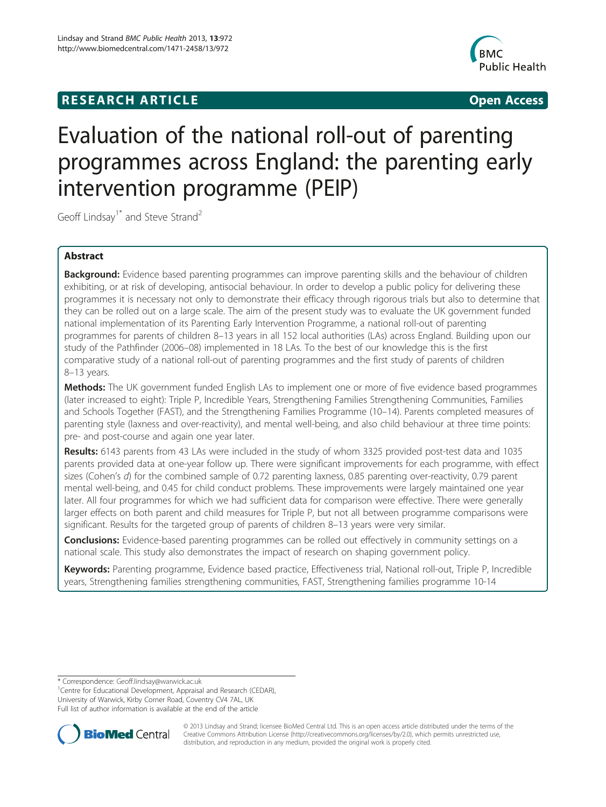## **RESEARCH ARTICLE CONSUMING A RESEARCH ARTICLE**



# Evaluation of the national roll-out of parenting programmes across England: the parenting early intervention programme (PEIP)

Geoff Lindsay<sup>1\*</sup> and Steve Strand<sup>2</sup>

## Abstract

Background: Evidence based parenting programmes can improve parenting skills and the behaviour of children exhibiting, or at risk of developing, antisocial behaviour. In order to develop a public policy for delivering these programmes it is necessary not only to demonstrate their efficacy through rigorous trials but also to determine that they can be rolled out on a large scale. The aim of the present study was to evaluate the UK government funded national implementation of its Parenting Early Intervention Programme, a national roll-out of parenting programmes for parents of children 8–13 years in all 152 local authorities (LAs) across England. Building upon our study of the Pathfinder (2006–08) implemented in 18 LAs. To the best of our knowledge this is the first comparative study of a national roll-out of parenting programmes and the first study of parents of children 8–13 years.

Methods: The UK government funded English LAs to implement one or more of five evidence based programmes (later increased to eight): Triple P, Incredible Years, Strengthening Families Strengthening Communities, Families and Schools Together (FAST), and the Strengthening Families Programme (10–14). Parents completed measures of parenting style (laxness and over-reactivity), and mental well-being, and also child behaviour at three time points: pre- and post-course and again one year later.

Results: 6143 parents from 43 LAs were included in the study of whom 3325 provided post-test data and 1035 parents provided data at one-year follow up. There were significant improvements for each programme, with effect sizes (Cohen's d) for the combined sample of 0.72 parenting laxness, 0.85 parenting over-reactivity, 0.79 parent mental well-being, and 0.45 for child conduct problems. These improvements were largely maintained one year later. All four programmes for which we had sufficient data for comparison were effective. There were generally larger effects on both parent and child measures for Triple P, but not all between programme comparisons were significant. Results for the targeted group of parents of children 8–13 years were very similar.

**Conclusions:** Evidence-based parenting programmes can be rolled out effectively in community settings on a national scale. This study also demonstrates the impact of research on shaping government policy.

Keywords: Parenting programme, Evidence based practice, Effectiveness trial, National roll-out, Triple P, Incredible years, Strengthening families strengthening communities, FAST, Strengthening families programme 10-14

\* Correspondence: [Geoff.lindsay@warwick.ac.uk](mailto:Geoff.lindsay@warwick.ac.uk) <sup>1</sup>

<sup>1</sup> Centre for Educational Development, Appraisal and Research (CEDAR), University of Warwick, Kirby Corner Road, Coventry CV4 7AL, UK Full list of author information is available at the end of the article



© 2013 Lindsay and Strand; licensee BioMed Central Ltd. This is an open access article distributed under the terms of the Creative Commons Attribution License (<http://creativecommons.org/licenses/by/2.0>), which permits unrestricted use, distribution, and reproduction in any medium, provided the original work is properly cited.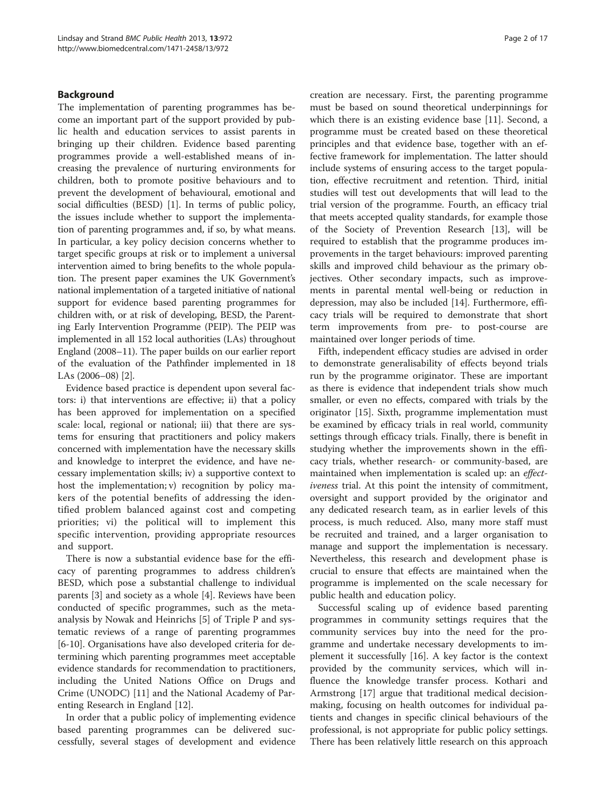## Background

The implementation of parenting programmes has become an important part of the support provided by public health and education services to assist parents in bringing up their children. Evidence based parenting programmes provide a well-established means of increasing the prevalence of nurturing environments for children, both to promote positive behaviours and to prevent the development of behavioural, emotional and social difficulties (BESD) [[1\]](#page-15-0). In terms of public policy, the issues include whether to support the implementation of parenting programmes and, if so, by what means. In particular, a key policy decision concerns whether to target specific groups at risk or to implement a universal intervention aimed to bring benefits to the whole population. The present paper examines the UK Government's national implementation of a targeted initiative of national support for evidence based parenting programmes for children with, or at risk of developing, BESD, the Parenting Early Intervention Programme (PEIP). The PEIP was implemented in all 152 local authorities (LAs) throughout England (2008–11). The paper builds on our earlier report of the evaluation of the Pathfinder implemented in 18 LAs (2006–08) [\[2](#page-15-0)].

Evidence based practice is dependent upon several factors: i) that interventions are effective; ii) that a policy has been approved for implementation on a specified scale: local, regional or national; iii) that there are systems for ensuring that practitioners and policy makers concerned with implementation have the necessary skills and knowledge to interpret the evidence, and have necessary implementation skills; iv) a supportive context to host the implementation; v) recognition by policy makers of the potential benefits of addressing the identified problem balanced against cost and competing priorities; vi) the political will to implement this specific intervention, providing appropriate resources and support.

There is now a substantial evidence base for the efficacy of parenting programmes to address children's BESD, which pose a substantial challenge to individual parents [[3\]](#page-15-0) and society as a whole [\[4](#page-15-0)]. Reviews have been conducted of specific programmes, such as the metaanalysis by Nowak and Heinrichs [[5\]](#page-15-0) of Triple P and systematic reviews of a range of parenting programmes [[6-10](#page-15-0)]. Organisations have also developed criteria for determining which parenting programmes meet acceptable evidence standards for recommendation to practitioners, including the United Nations Office on Drugs and Crime (UNODC) [\[11\]](#page-15-0) and the National Academy of Parenting Research in England [[12\]](#page-15-0).

In order that a public policy of implementing evidence based parenting programmes can be delivered successfully, several stages of development and evidence

creation are necessary. First, the parenting programme must be based on sound theoretical underpinnings for which there is an existing evidence base [[11\]](#page-15-0). Second, a programme must be created based on these theoretical principles and that evidence base, together with an effective framework for implementation. The latter should include systems of ensuring access to the target population, effective recruitment and retention. Third, initial studies will test out developments that will lead to the trial version of the programme. Fourth, an efficacy trial that meets accepted quality standards, for example those of the Society of Prevention Research [\[13\]](#page-16-0), will be required to establish that the programme produces improvements in the target behaviours: improved parenting skills and improved child behaviour as the primary objectives. Other secondary impacts, such as improvements in parental mental well-being or reduction in depression, may also be included [[14\]](#page-16-0). Furthermore, efficacy trials will be required to demonstrate that short term improvements from pre- to post-course are maintained over longer periods of time.

Fifth, independent efficacy studies are advised in order to demonstrate generalisability of effects beyond trials run by the programme originator. These are important as there is evidence that independent trials show much smaller, or even no effects, compared with trials by the originator [\[15\]](#page-16-0). Sixth, programme implementation must be examined by efficacy trials in real world, community settings through efficacy trials. Finally, there is benefit in studying whether the improvements shown in the efficacy trials, whether research- or community-based, are maintained when implementation is scaled up: an effectiveness trial. At this point the intensity of commitment, oversight and support provided by the originator and any dedicated research team, as in earlier levels of this process, is much reduced. Also, many more staff must be recruited and trained, and a larger organisation to manage and support the implementation is necessary. Nevertheless, this research and development phase is crucial to ensure that effects are maintained when the programme is implemented on the scale necessary for public health and education policy.

Successful scaling up of evidence based parenting programmes in community settings requires that the community services buy into the need for the programme and undertake necessary developments to implement it successfully [\[16\]](#page-16-0). A key factor is the context provided by the community services, which will influence the knowledge transfer process. Kothari and Armstrong [\[17](#page-16-0)] argue that traditional medical decisionmaking, focusing on health outcomes for individual patients and changes in specific clinical behaviours of the professional, is not appropriate for public policy settings. There has been relatively little research on this approach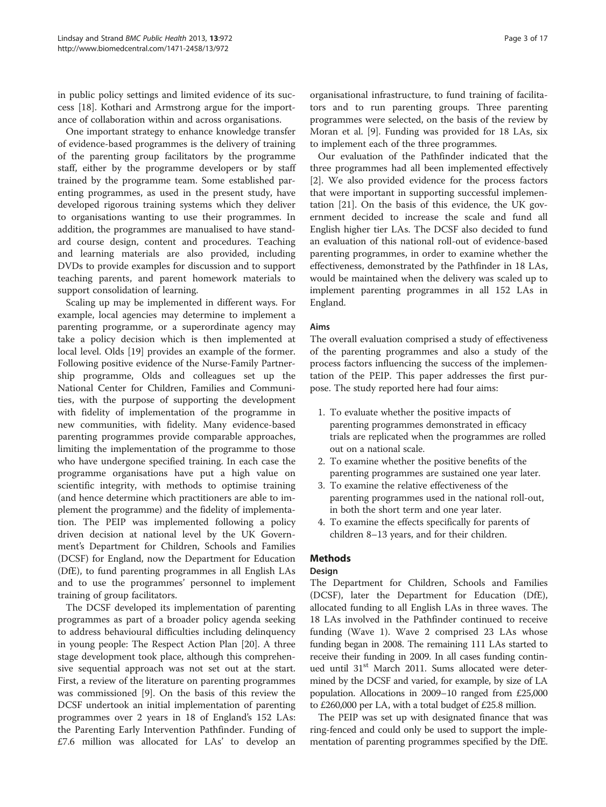in public policy settings and limited evidence of its success [\[18\]](#page-16-0). Kothari and Armstrong argue for the importance of collaboration within and across organisations.

One important strategy to enhance knowledge transfer of evidence-based programmes is the delivery of training of the parenting group facilitators by the programme staff, either by the programme developers or by staff trained by the programme team. Some established parenting programmes, as used in the present study, have developed rigorous training systems which they deliver to organisations wanting to use their programmes. In addition, the programmes are manualised to have standard course design, content and procedures. Teaching and learning materials are also provided, including DVDs to provide examples for discussion and to support teaching parents, and parent homework materials to support consolidation of learning.

Scaling up may be implemented in different ways. For example, local agencies may determine to implement a parenting programme, or a superordinate agency may take a policy decision which is then implemented at local level. Olds [[19](#page-16-0)] provides an example of the former. Following positive evidence of the Nurse-Family Partnership programme, Olds and colleagues set up the National Center for Children, Families and Communities, with the purpose of supporting the development with fidelity of implementation of the programme in new communities, with fidelity. Many evidence-based parenting programmes provide comparable approaches, limiting the implementation of the programme to those who have undergone specified training. In each case the programme organisations have put a high value on scientific integrity, with methods to optimise training (and hence determine which practitioners are able to implement the programme) and the fidelity of implementation. The PEIP was implemented following a policy driven decision at national level by the UK Government's Department for Children, Schools and Families (DCSF) for England, now the Department for Education (DfE), to fund parenting programmes in all English LAs and to use the programmes' personnel to implement training of group facilitators.

The DCSF developed its implementation of parenting programmes as part of a broader policy agenda seeking to address behavioural difficulties including delinquency in young people: The Respect Action Plan [\[20](#page-16-0)]. A three stage development took place, although this comprehensive sequential approach was not set out at the start. First, a review of the literature on parenting programmes was commissioned [\[9](#page-15-0)]. On the basis of this review the DCSF undertook an initial implementation of parenting programmes over 2 years in 18 of England's 152 LAs: the Parenting Early Intervention Pathfinder. Funding of £7.6 million was allocated for LAs' to develop an organisational infrastructure, to fund training of facilitators and to run parenting groups. Three parenting programmes were selected, on the basis of the review by Moran et al. [\[9](#page-15-0)]. Funding was provided for 18 LAs, six to implement each of the three programmes.

Our evaluation of the Pathfinder indicated that the three programmes had all been implemented effectively [[2\]](#page-15-0). We also provided evidence for the process factors that were important in supporting successful implementation [[21\]](#page-16-0). On the basis of this evidence, the UK government decided to increase the scale and fund all English higher tier LAs. The DCSF also decided to fund an evaluation of this national roll-out of evidence-based parenting programmes, in order to examine whether the effectiveness, demonstrated by the Pathfinder in 18 LAs, would be maintained when the delivery was scaled up to implement parenting programmes in all 152 LAs in England.

## Aims

The overall evaluation comprised a study of effectiveness of the parenting programmes and also a study of the process factors influencing the success of the implementation of the PEIP. This paper addresses the first purpose. The study reported here had four aims:

- 1. To evaluate whether the positive impacts of parenting programmes demonstrated in efficacy trials are replicated when the programmes are rolled out on a national scale.
- 2. To examine whether the positive benefits of the parenting programmes are sustained one year later.
- 3. To examine the relative effectiveness of the parenting programmes used in the national roll-out, in both the short term and one year later.
- 4. To examine the effects specifically for parents of children 8–13 years, and for their children.

## Methods

## Design

The Department for Children, Schools and Families (DCSF), later the Department for Education (DfE), allocated funding to all English LAs in three waves. The 18 LAs involved in the Pathfinder continued to receive funding (Wave 1). Wave 2 comprised 23 LAs whose funding began in 2008. The remaining 111 LAs started to receive their funding in 2009. In all cases funding continued until 31<sup>st</sup> March 2011. Sums allocated were determined by the DCSF and varied, for example, by size of LA population. Allocations in 2009–10 ranged from £25,000 to £260,000 per LA, with a total budget of £25.8 million.

The PEIP was set up with designated finance that was ring-fenced and could only be used to support the implementation of parenting programmes specified by the DfE.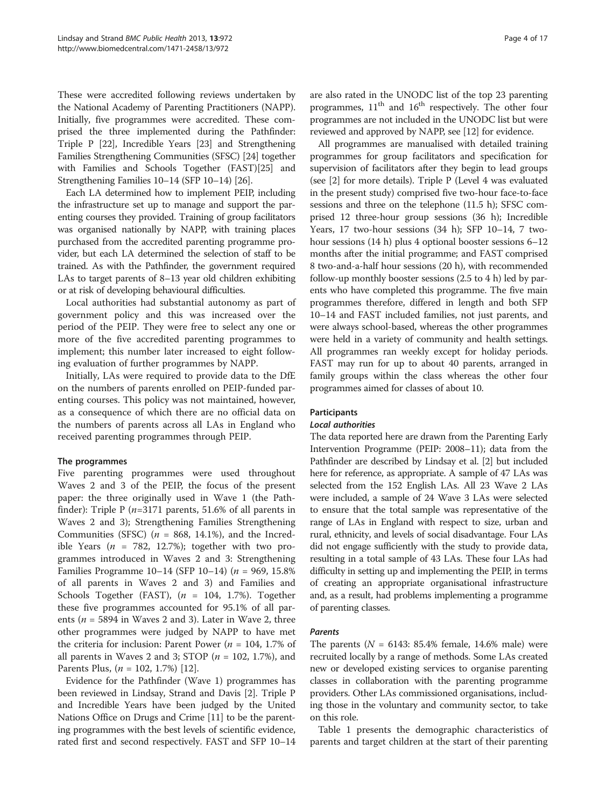These were accredited following reviews undertaken by the National Academy of Parenting Practitioners (NAPP). Initially, five programmes were accredited. These comprised the three implemented during the Pathfinder: Triple P [\[22](#page-16-0)], Incredible Years [\[23\]](#page-16-0) and Strengthening Families Strengthening Communities (SFSC) [[24](#page-16-0)] together with Families and Schools Together (FAST)[\[25\]](#page-16-0) and Strengthening Families 10–14 (SFP 10–14) [[26](#page-16-0)].

Each LA determined how to implement PEIP, including the infrastructure set up to manage and support the parenting courses they provided. Training of group facilitators was organised nationally by NAPP, with training places purchased from the accredited parenting programme provider, but each LA determined the selection of staff to be trained. As with the Pathfinder, the government required LAs to target parents of 8–13 year old children exhibiting or at risk of developing behavioural difficulties.

Local authorities had substantial autonomy as part of government policy and this was increased over the period of the PEIP. They were free to select any one or more of the five accredited parenting programmes to implement; this number later increased to eight following evaluation of further programmes by NAPP.

Initially, LAs were required to provide data to the DfE on the numbers of parents enrolled on PEIP-funded parenting courses. This policy was not maintained, however, as a consequence of which there are no official data on the numbers of parents across all LAs in England who received parenting programmes through PEIP.

#### The programmes

Five parenting programmes were used throughout Waves 2 and 3 of the PEIP, the focus of the present paper: the three originally used in Wave 1 (the Pathfinder): Triple P  $(n=3171$  parents, 51.6% of all parents in Waves 2 and 3); Strengthening Families Strengthening Communities (SFSC) ( $n = 868, 14.1\%$ ), and the Incredible Years ( $n = 782, 12.7\%$ ); together with two programmes introduced in Waves 2 and 3: Strengthening Families Programme 10–14 (SFP 10–14) ( $n = 969, 15.8\%$ of all parents in Waves 2 and 3) and Families and Schools Together (FAST),  $(n = 104, 1.7\%)$ . Together these five programmes accounted for 95.1% of all parents ( $n = 5894$  in Waves 2 and 3). Later in Wave 2, three other programmes were judged by NAPP to have met the criteria for inclusion: Parent Power ( $n = 104$ , 1.7% of all parents in Waves 2 and 3; STOP ( $n = 102, 1.7\%$ ), and Parents Plus,  $(n = 102, 1.7\%)$  [[12](#page-15-0)].

Evidence for the Pathfinder (Wave 1) programmes has been reviewed in Lindsay, Strand and Davis [\[2](#page-15-0)]. Triple P and Incredible Years have been judged by the United Nations Office on Drugs and Crime [\[11\]](#page-15-0) to be the parenting programmes with the best levels of scientific evidence, rated first and second respectively. FAST and SFP 10–14 are also rated in the UNODC list of the top 23 parenting programmes,  $11<sup>th</sup>$  and  $16<sup>th</sup>$  respectively. The other four programmes are not included in the UNODC list but were reviewed and approved by NAPP, see [\[12](#page-15-0)] for evidence.

All programmes are manualised with detailed training programmes for group facilitators and specification for supervision of facilitators after they begin to lead groups (see [\[2](#page-15-0)] for more details). Triple P (Level 4 was evaluated in the present study) comprised five two-hour face-to-face sessions and three on the telephone (11.5 h); SFSC comprised 12 three-hour group sessions (36 h); Incredible Years, 17 two-hour sessions (34 h); SFP 10–14, 7 twohour sessions (14 h) plus 4 optional booster sessions 6–12 months after the initial programme; and FAST comprised 8 two-and-a-half hour sessions (20 h), with recommended follow-up monthly booster sessions (2.5 to 4 h) led by parents who have completed this programme. The five main programmes therefore, differed in length and both SFP 10–14 and FAST included families, not just parents, and were always school-based, whereas the other programmes were held in a variety of community and health settings. All programmes ran weekly except for holiday periods. FAST may run for up to about 40 parents, arranged in family groups within the class whereas the other four programmes aimed for classes of about 10.

#### **Participants**

#### Local authorities

The data reported here are drawn from the Parenting Early Intervention Programme (PEIP: 2008–11); data from the Pathfinder are described by Lindsay et al. [\[2\]](#page-15-0) but included here for reference, as appropriate. A sample of 47 LAs was selected from the 152 English LAs. All 23 Wave 2 LAs were included, a sample of 24 Wave 3 LAs were selected to ensure that the total sample was representative of the range of LAs in England with respect to size, urban and rural, ethnicity, and levels of social disadvantage. Four LAs did not engage sufficiently with the study to provide data, resulting in a total sample of 43 LAs. These four LAs had difficulty in setting up and implementing the PEIP, in terms of creating an appropriate organisational infrastructure and, as a result, had problems implementing a programme of parenting classes.

#### Parents

The parents ( $N = 6143: 85.4\%$  female, 14.6% male) were recruited locally by a range of methods. Some LAs created new or developed existing services to organise parenting classes in collaboration with the parenting programme providers. Other LAs commissioned organisations, including those in the voluntary and community sector, to take on this role.

Table [1](#page-4-0) presents the demographic characteristics of parents and target children at the start of their parenting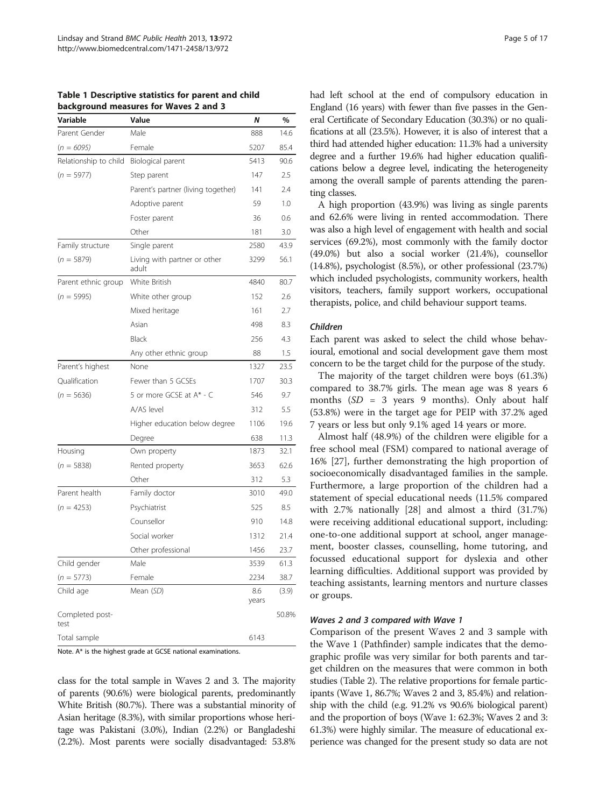<span id="page-4-0"></span>Table 1 Descriptive statistics for parent and child background measures for Waves 2 and 3

| Variable                | Value                                 | Ν            | %     |
|-------------------------|---------------------------------------|--------------|-------|
| Parent Gender           | Male                                  | 888          | 14.6  |
| $(n = 6095)$            | Female                                | 5207         | 85.4  |
| Relationship to child   | Biological parent                     | 5413         | 90.6  |
| $(n = 5977)$            | Step parent                           | 147          | 2.5   |
|                         | Parent's partner (living together)    | 141          | 2.4   |
|                         | Adoptive parent                       | 59           | 1.0   |
|                         | Foster parent                         | 36           | 0.6   |
|                         | Other                                 | 181          | 3.0   |
| Family structure        | Single parent                         | 2580         | 43.9  |
| $(n = 5879)$            | Living with partner or other<br>adult | 3299         | 56.1  |
| Parent ethnic group     | White British                         | 4840         | 80.7  |
| $(n = 5995)$            | White other group                     | 152          | 2.6   |
|                         | Mixed heritage                        | 161          | 2.7   |
|                         | Asian                                 | 498          | 8.3   |
|                         | Black                                 | 256          | 4.3   |
|                         | Any other ethnic group                | 88           | 1.5   |
| Parent's highest        | None                                  | 1327         | 23.5  |
| Oualification           | Fewer than 5 GCSEs                    | 1707         | 30.3  |
| $(n = 5636)$            | 5 or more GCSE at A* - C              | 546          | 9.7   |
|                         | A/AS level                            | 312          | 5.5   |
|                         | Higher education below degree         | 1106         | 19.6  |
|                         | Degree                                | 638          | 11.3  |
| Housing                 | Own property                          | 1873         | 32.1  |
| $(n = 5838)$            | Rented property                       | 3653         | 62.6  |
|                         | Other                                 | 312          | 5.3   |
| Parent health           | Family doctor                         | 3010         | 49.0  |
| $(n = 4253)$            | Psychiatrist                          | 525          | 8.5   |
|                         | Counsellor                            | 910          | 14.8  |
|                         | Social worker                         | 1312         | 21.4  |
|                         | Other professional                    | 1456         | 23.7  |
| Child gender            | Male                                  | 3539         | 61.3  |
| $(n = 5773)$            | Female                                | 2234         | 38.7  |
| Child age               | Mean (SD)                             | 8.6<br>years | (3.9) |
| Completed post-<br>test |                                       |              | 50.8% |
| Total sample            |                                       | 6143         |       |

Note. A\* is the highest grade at GCSE national examinations.

class for the total sample in Waves 2 and 3. The majority of parents (90.6%) were biological parents, predominantly White British (80.7%). There was a substantial minority of Asian heritage (8.3%), with similar proportions whose heritage was Pakistani (3.0%), Indian (2.2%) or Bangladeshi (2.2%). Most parents were socially disadvantaged: 53.8% had left school at the end of compulsory education in England (16 years) with fewer than five passes in the General Certificate of Secondary Education (30.3%) or no qualifications at all (23.5%). However, it is also of interest that a third had attended higher education: 11.3% had a university degree and a further 19.6% had higher education qualifications below a degree level, indicating the heterogeneity among the overall sample of parents attending the parenting classes.

A high proportion (43.9%) was living as single parents and 62.6% were living in rented accommodation. There was also a high level of engagement with health and social services (69.2%), most commonly with the family doctor (49.0%) but also a social worker (21.4%), counsellor (14.8%), psychologist (8.5%), or other professional (23.7%) which included psychologists, community workers, health visitors, teachers, family support workers, occupational therapists, police, and child behaviour support teams.

#### Children

Each parent was asked to select the child whose behavioural, emotional and social development gave them most concern to be the target child for the purpose of the study.

The majority of the target children were boys (61.3%) compared to 38.7% girls. The mean age was 8 years 6 months  $(SD = 3$  years 9 months). Only about half (53.8%) were in the target age for PEIP with 37.2% aged 7 years or less but only 9.1% aged 14 years or more.

Almost half (48.9%) of the children were eligible for a free school meal (FSM) compared to national average of 16% [[27](#page-16-0)], further demonstrating the high proportion of socioeconomically disadvantaged families in the sample. Furthermore, a large proportion of the children had a statement of special educational needs (11.5% compared with 2.7% nationally [\[28\]](#page-16-0) and almost a third (31.7%) were receiving additional educational support, including: one-to-one additional support at school, anger management, booster classes, counselling, home tutoring, and focussed educational support for dyslexia and other learning difficulties. Additional support was provided by teaching assistants, learning mentors and nurture classes or groups.

#### Waves 2 and 3 compared with Wave 1

Comparison of the present Waves 2 and 3 sample with the Wave 1 (Pathfinder) sample indicates that the demographic profile was very similar for both parents and target children on the measures that were common in both studies (Table [2\)](#page-5-0). The relative proportions for female participants (Wave 1, 86.7%; Waves 2 and 3, 85.4%) and relationship with the child (e.g. 91.2% vs 90.6% biological parent) and the proportion of boys (Wave 1: 62.3%; Waves 2 and 3: 61.3%) were highly similar. The measure of educational experience was changed for the present study so data are not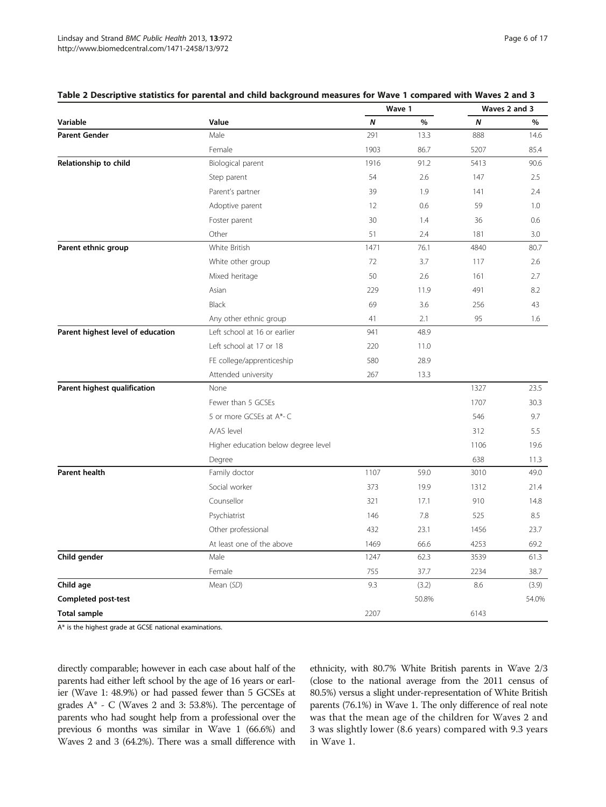|                                   |                                     |      | Wave 1 | Waves 2 and 3 |       |  |
|-----------------------------------|-------------------------------------|------|--------|---------------|-------|--|
| Variable                          | Value                               | N    | $\%$   | Ν             | %     |  |
| <b>Parent Gender</b>              | Male                                | 291  | 13.3   | 888           | 14.6  |  |
|                                   | Female                              | 1903 | 86.7   | 5207          | 85.4  |  |
| Relationship to child             | Biological parent                   | 1916 | 91.2   | 5413          | 90.6  |  |
|                                   | Step parent                         | 54   | 2.6    | 147           | 2.5   |  |
|                                   | Parent's partner                    | 39   | 1.9    | 141           | 2.4   |  |
|                                   | Adoptive parent                     | 12   | 0.6    | 59            | 1.0   |  |
|                                   | Foster parent                       | 30   | 1.4    | 36            | 0.6   |  |
|                                   | Other                               | 51   | 2.4    | 181           | 3.0   |  |
| Parent ethnic group               | White British                       | 1471 | 76.1   | 4840          | 80.7  |  |
|                                   | White other group                   | 72   | 3.7    | 117           | 2.6   |  |
|                                   | Mixed heritage                      | 50   | 2.6    | 161           | 2.7   |  |
|                                   | Asian                               | 229  | 11.9   | 491           | 8.2   |  |
|                                   | <b>Black</b>                        | 69   | 3.6    | 256           | 43    |  |
|                                   | Any other ethnic group              | 41   | 2.1    | 95            | 1.6   |  |
| Parent highest level of education | Left school at 16 or earlier        | 941  | 48.9   |               |       |  |
|                                   | Left school at 17 or 18             | 220  | 11.0   |               |       |  |
|                                   | FE college/apprenticeship           | 580  | 28.9   |               |       |  |
|                                   | Attended university                 | 267  | 13.3   |               |       |  |
| Parent highest qualification      | None                                |      |        | 1327          | 23.5  |  |
|                                   | Fewer than 5 GCSEs                  |      |        | 1707          | 30.3  |  |
|                                   | 5 or more GCSEs at A*-C             |      |        | 546           | 9.7   |  |
|                                   | A/AS level                          |      |        | 312           | 5.5   |  |
|                                   | Higher education below degree level |      |        | 1106          | 19.6  |  |
|                                   | Degree                              |      |        | 638           | 11.3  |  |
| <b>Parent health</b>              | Family doctor                       | 1107 | 59.0   | 3010          | 49.0  |  |
|                                   | Social worker                       | 373  | 19.9   | 1312          | 21.4  |  |
|                                   | Counsellor                          | 321  | 17.1   | 910           | 14.8  |  |
|                                   | Psychiatrist                        | 146  | 7.8    | 525           | 8.5   |  |
|                                   | Other professional                  | 432  | 23.1   | 1456          | 23.7  |  |
|                                   | At least one of the above           | 1469 | 66.6   | 4253          | 69.2  |  |
| Child gender                      | Male                                | 1247 | 62.3   | 3539          | 61.3  |  |
|                                   | Female                              | 755  | 37.7   | 2234          | 38.7  |  |
| Child age                         | Mean (SD)                           | 9.3  | (3.2)  | 8.6           | (3.9) |  |
| Completed post-test               |                                     |      | 50.8%  |               | 54.0% |  |
| <b>Total sample</b>               |                                     | 2207 |        | 6143          |       |  |

#### <span id="page-5-0"></span>Table 2 Descriptive statistics for parental and child background measures for Wave 1 compared with Waves 2 and 3

A\* is the highest grade at GCSE national examinations.

directly comparable; however in each case about half of the parents had either left school by the age of 16 years or earlier (Wave 1: 48.9%) or had passed fewer than 5 GCSEs at grades A\* - C (Waves 2 and 3: 53.8%). The percentage of parents who had sought help from a professional over the previous 6 months was similar in Wave 1 (66.6%) and Waves 2 and 3 (64.2%). There was a small difference with ethnicity, with 80.7% White British parents in Wave 2/3 (close to the national average from the 2011 census of 80.5%) versus a slight under-representation of White British parents (76.1%) in Wave 1. The only difference of real note was that the mean age of the children for Waves 2 and 3 was slightly lower (8.6 years) compared with 9.3 years in Wave 1.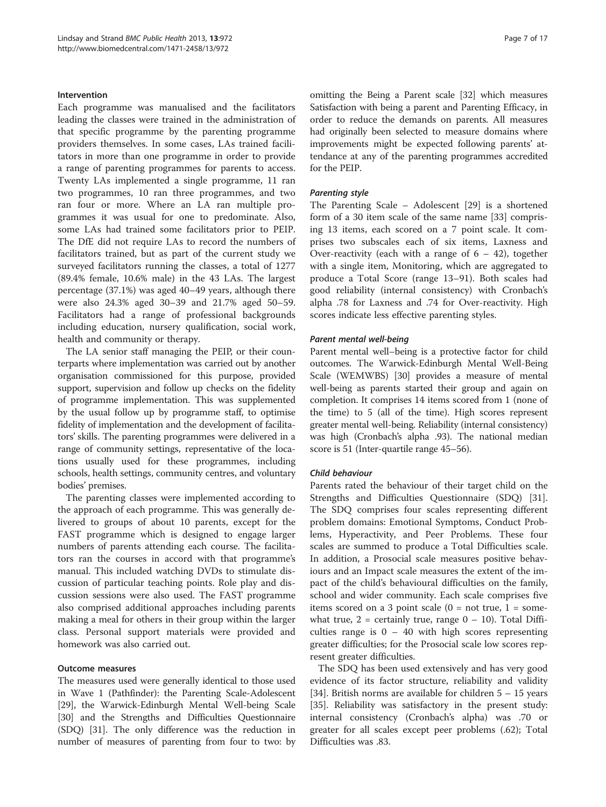#### Intervention

Each programme was manualised and the facilitators leading the classes were trained in the administration of that specific programme by the parenting programme providers themselves. In some cases, LAs trained facilitators in more than one programme in order to provide a range of parenting programmes for parents to access. Twenty LAs implemented a single programme, 11 ran two programmes, 10 ran three programmes, and two ran four or more. Where an LA ran multiple programmes it was usual for one to predominate. Also, some LAs had trained some facilitators prior to PEIP. The DfE did not require LAs to record the numbers of facilitators trained, but as part of the current study we surveyed facilitators running the classes, a total of 1277 (89.4% female, 10.6% male) in the 43 LAs. The largest percentage (37.1%) was aged 40–49 years, although there were also 24.3% aged 30–39 and 21.7% aged 50–59. Facilitators had a range of professional backgrounds including education, nursery qualification, social work, health and community or therapy.

The LA senior staff managing the PEIP, or their counterparts where implementation was carried out by another organisation commissioned for this purpose, provided support, supervision and follow up checks on the fidelity of programme implementation. This was supplemented by the usual follow up by programme staff, to optimise fidelity of implementation and the development of facilitators' skills. The parenting programmes were delivered in a range of community settings, representative of the locations usually used for these programmes, including schools, health settings, community centres, and voluntary bodies' premises.

The parenting classes were implemented according to the approach of each programme. This was generally delivered to groups of about 10 parents, except for the FAST programme which is designed to engage larger numbers of parents attending each course. The facilitators ran the courses in accord with that programme's manual. This included watching DVDs to stimulate discussion of particular teaching points. Role play and discussion sessions were also used. The FAST programme also comprised additional approaches including parents making a meal for others in their group within the larger class. Personal support materials were provided and homework was also carried out.

#### Outcome measures

The measures used were generally identical to those used in Wave 1 (Pathfinder): the Parenting Scale-Adolescent [[29](#page-16-0)], the Warwick-Edinburgh Mental Well-being Scale [[30](#page-16-0)] and the Strengths and Difficulties Questionnaire (SDQ) [\[31\]](#page-16-0). The only difference was the reduction in number of measures of parenting from four to two: by omitting the Being a Parent scale [\[32\]](#page-16-0) which measures Satisfaction with being a parent and Parenting Efficacy, in order to reduce the demands on parents. All measures had originally been selected to measure domains where improvements might be expected following parents' attendance at any of the parenting programmes accredited for the PEIP.

#### Parenting style

The Parenting Scale – Adolescent [[29\]](#page-16-0) is a shortened form of a 30 item scale of the same name [[33](#page-16-0)] comprising 13 items, each scored on a 7 point scale. It comprises two subscales each of six items, Laxness and Over-reactivity (each with a range of  $6 - 42$ ), together with a single item, Monitoring, which are aggregated to produce a Total Score (range 13–91). Both scales had good reliability (internal consistency) with Cronbach's alpha .78 for Laxness and .74 for Over-reactivity. High scores indicate less effective parenting styles.

#### Parent mental well-being

Parent mental well–being is a protective factor for child outcomes. The Warwick-Edinburgh Mental Well-Being Scale (WEMWBS) [[30](#page-16-0)] provides a measure of mental well-being as parents started their group and again on completion. It comprises 14 items scored from 1 (none of the time) to 5 (all of the time). High scores represent greater mental well-being. Reliability (internal consistency) was high (Cronbach's alpha .93). The national median score is 51 (Inter-quartile range 45–56).

#### Child behaviour

Parents rated the behaviour of their target child on the Strengths and Difficulties Questionnaire (SDQ) [\[31](#page-16-0)]. The SDQ comprises four scales representing different problem domains: Emotional Symptoms, Conduct Problems, Hyperactivity, and Peer Problems. These four scales are summed to produce a Total Difficulties scale. In addition, a Prosocial scale measures positive behaviours and an Impact scale measures the extent of the impact of the child's behavioural difficulties on the family, school and wider community. Each scale comprises five items scored on a 3 point scale  $(0 = not true, 1 = some$ what true,  $2$  = certainly true, range  $0 - 10$ ). Total Difficulties range is  $0 - 40$  with high scores representing greater difficulties; for the Prosocial scale low scores represent greater difficulties.

The SDQ has been used extensively and has very good evidence of its factor structure, reliability and validity [[34\]](#page-16-0). British norms are available for children 5 – 15 years [[35\]](#page-16-0). Reliability was satisfactory in the present study: internal consistency (Cronbach's alpha) was .70 or greater for all scales except peer problems (.62); Total Difficulties was .83.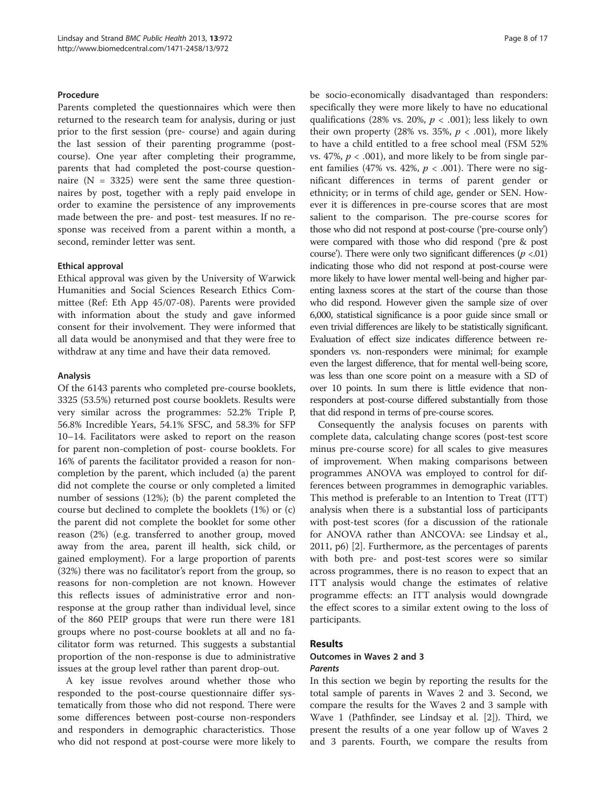#### **Procedure**

Parents completed the questionnaires which were then returned to the research team for analysis, during or just prior to the first session (pre- course) and again during the last session of their parenting programme (postcourse). One year after completing their programme, parents that had completed the post-course questionnaire  $(N = 3325)$  were sent the same three questionnaires by post, together with a reply paid envelope in order to examine the persistence of any improvements made between the pre- and post- test measures. If no response was received from a parent within a month, a second, reminder letter was sent.

#### Ethical approval

Ethical approval was given by the University of Warwick Humanities and Social Sciences Research Ethics Committee (Ref: Eth App 45/07-08). Parents were provided with information about the study and gave informed consent for their involvement. They were informed that all data would be anonymised and that they were free to withdraw at any time and have their data removed.

#### Analysis

Of the 6143 parents who completed pre-course booklets, 3325 (53.5%) returned post course booklets. Results were very similar across the programmes: 52.2% Triple P, 56.8% Incredible Years, 54.1% SFSC, and 58.3% for SFP 10–14. Facilitators were asked to report on the reason for parent non-completion of post- course booklets. For 16% of parents the facilitator provided a reason for noncompletion by the parent, which included (a) the parent did not complete the course or only completed a limited number of sessions (12%); (b) the parent completed the course but declined to complete the booklets (1%) or (c) the parent did not complete the booklet for some other reason (2%) (e.g. transferred to another group, moved away from the area, parent ill health, sick child, or gained employment). For a large proportion of parents (32%) there was no facilitator's report from the group, so reasons for non-completion are not known. However this reflects issues of administrative error and nonresponse at the group rather than individual level, since of the 860 PEIP groups that were run there were 181 groups where no post-course booklets at all and no facilitator form was returned. This suggests a substantial proportion of the non-response is due to administrative issues at the group level rather than parent drop-out.

A key issue revolves around whether those who responded to the post-course questionnaire differ systematically from those who did not respond. There were some differences between post-course non-responders and responders in demographic characteristics. Those who did not respond at post-course were more likely to be socio-economically disadvantaged than responders: specifically they were more likely to have no educational qualifications (28% vs. 20%,  $p < .001$ ); less likely to own their own property (28% vs. 35%,  $p < .001$ ), more likely to have a child entitled to a free school meal (FSM 52% vs. 47%,  $p < .001$ ), and more likely to be from single parent families (47% vs. 42%,  $p < .001$ ). There were no significant differences in terms of parent gender or ethnicity; or in terms of child age, gender or SEN. However it is differences in pre-course scores that are most salient to the comparison. The pre-course scores for those who did not respond at post-course ('pre-course only') were compared with those who did respond ('pre & post course'). There were only two significant differences ( $p < 01$ ) indicating those who did not respond at post-course were more likely to have lower mental well-being and higher parenting laxness scores at the start of the course than those who did respond. However given the sample size of over 6,000, statistical significance is a poor guide since small or even trivial differences are likely to be statistically significant. Evaluation of effect size indicates difference between responders vs. non-responders were minimal; for example even the largest difference, that for mental well-being score, was less than one score point on a measure with a SD of over 10 points. In sum there is little evidence that nonresponders at post-course differed substantially from those that did respond in terms of pre-course scores.

Consequently the analysis focuses on parents with complete data, calculating change scores (post-test score minus pre-course score) for all scales to give measures of improvement. When making comparisons between programmes ANOVA was employed to control for differences between programmes in demographic variables. This method is preferable to an Intention to Treat (ITT) analysis when there is a substantial loss of participants with post-test scores (for a discussion of the rationale for ANOVA rather than ANCOVA: see Lindsay et al., 2011, p6) [[2\]](#page-15-0). Furthermore, as the percentages of parents with both pre- and post-test scores were so similar across programmes, there is no reason to expect that an ITT analysis would change the estimates of relative programme effects: an ITT analysis would downgrade the effect scores to a similar extent owing to the loss of participants.

#### Results

## Outcomes in Waves 2 and 3 Parents

In this section we begin by reporting the results for the total sample of parents in Waves 2 and 3. Second, we compare the results for the Waves 2 and 3 sample with Wave 1 (Pathfinder, see Lindsay et al. [[2](#page-15-0)]). Third, we present the results of a one year follow up of Waves 2 and 3 parents. Fourth, we compare the results from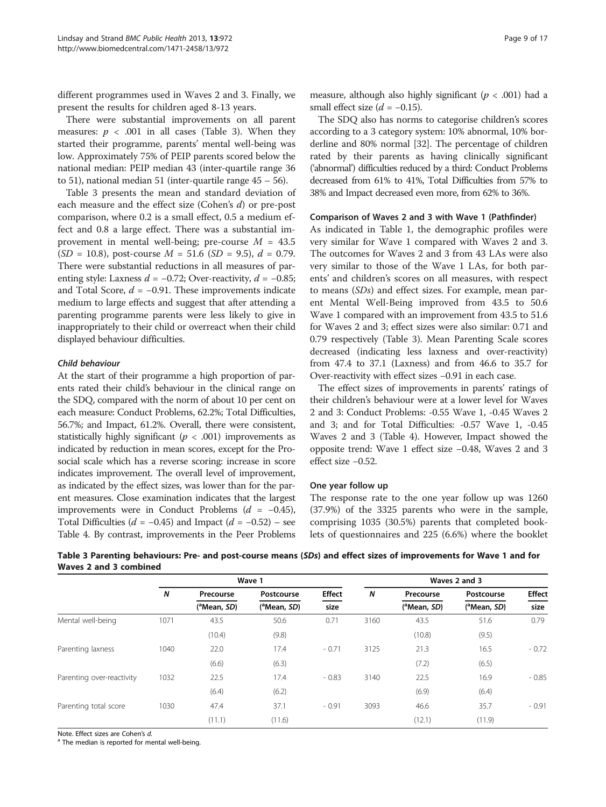different programmes used in Waves 2 and 3. Finally, we present the results for children aged 8-13 years.

There were substantial improvements on all parent measures:  $p < .001$  in all cases (Table 3). When they started their programme, parents' mental well-being was low. Approximately 75% of PEIP parents scored below the national median: PEIP median 43 (inter-quartile range 36 to 51), national median 51 (inter-quartile range 45 – 56).

Table 3 presents the mean and standard deviation of each measure and the effect size (Cohen's d) or pre-post comparison, where 0.2 is a small effect, 0.5 a medium effect and 0.8 a large effect. There was a substantial improvement in mental well-being; pre-course  $M = 43.5$  $(SD = 10.8)$ , post-course  $M = 51.6$   $(SD = 9.5)$ ,  $d = 0.79$ . There were substantial reductions in all measures of parenting style: Laxness  $d = -0.72$ ; Over-reactivity,  $d = -0.85$ ; and Total Score,  $d = -0.91$ . These improvements indicate medium to large effects and suggest that after attending a parenting programme parents were less likely to give in inappropriately to their child or overreact when their child displayed behaviour difficulties.

## Child behaviour

At the start of their programme a high proportion of parents rated their child's behaviour in the clinical range on the SDQ, compared with the norm of about 10 per cent on each measure: Conduct Problems, 62.2%; Total Difficulties, 56.7%; and Impact, 61.2%. Overall, there were consistent, statistically highly significant ( $p < .001$ ) improvements as indicated by reduction in mean scores, except for the Prosocial scale which has a reverse scoring: increase in score indicates improvement. The overall level of improvement, as indicated by the effect sizes, was lower than for the parent measures. Close examination indicates that the largest improvements were in Conduct Problems  $(d = -0.45)$ , Total Difficulties ( $d = -0.45$ ) and Impact ( $d = -0.52$ ) – see Table [4.](#page-9-0) By contrast, improvements in the Peer Problems

The SDQ also has norms to categorise children's scores according to a 3 category system: 10% abnormal, 10% borderline and 80% normal [[32](#page-16-0)]. The percentage of children rated by their parents as having clinically significant ('abnormal') difficulties reduced by a third: Conduct Problems decreased from 61% to 41%, Total Difficulties from 57% to 38% and Impact decreased even more, from 62% to 36%.

## Comparison of Waves 2 and 3 with Wave 1 (Pathfinder)

As indicated in Table [1](#page-4-0), the demographic profiles were very similar for Wave 1 compared with Waves 2 and 3. The outcomes for Waves 2 and 3 from 43 LAs were also very similar to those of the Wave 1 LAs, for both parents' and children's scores on all measures, with respect to means (SDs) and effect sizes. For example, mean parent Mental Well-Being improved from 43.5 to 50.6 Wave 1 compared with an improvement from 43.5 to 51.6 for Waves 2 and 3; effect sizes were also similar: 0.71 and 0.79 respectively (Table 3). Mean Parenting Scale scores decreased (indicating less laxness and over-reactivity) from 47.4 to 37.1 (Laxness) and from 46.6 to 35.7 for Over-reactivity with effect sizes −0.91 in each case.

The effect sizes of improvements in parents' ratings of their children's behaviour were at a lower level for Waves 2 and 3: Conduct Problems: -0.55 Wave 1, -0.45 Waves 2 and 3; and for Total Difficulties: -0.57 Wave 1, -0.45 Waves 2 and 3 (Table [4](#page-9-0)). However, Impact showed the opposite trend: Wave 1 effect size −0.48, Waves 2 and 3 effect size −0.52.

#### One year follow up

 $(11.1)$   $(11.6)$   $(12.1)$   $(11.9)$ 

The response rate to the one year follow up was 1260 (37.9%) of the 3325 parents who were in the sample, comprising 1035 (30.5%) parents that completed booklets of questionnaires and 225 (6.6%) where the booklet

|                           |      |                          | Wave 1                   | Waves 2 and 3 |      |                          |                          |               |  |  |
|---------------------------|------|--------------------------|--------------------------|---------------|------|--------------------------|--------------------------|---------------|--|--|
|                           | N    | Precourse                | Postcourse               | <b>Effect</b> | N    | Precourse                | Postcourse               | <b>Effect</b> |  |  |
|                           |      | ( <sup>a</sup> Mean, SD) | ( <sup>a</sup> Mean, SD) | size          |      | ( <sup>a</sup> Mean, SD) | ( <sup>a</sup> Mean, SD) | size          |  |  |
| Mental well-being         | 1071 | 43.5                     | 50.6                     | 0.71          | 3160 | 43.5                     | 51.6                     | 0.79          |  |  |
|                           |      | (10.4)                   | (9.8)                    |               |      | (10.8)                   | (9.5)                    |               |  |  |
| Parenting laxness         | 1040 | 22.0                     | 17.4                     | $-0.71$       | 3125 | 21.3                     | 16.5                     | $-0.72$       |  |  |
|                           |      | (6.6)                    | (6.3)                    |               |      | (7.2)                    | (6.5)                    |               |  |  |
| Parenting over-reactivity | 1032 | 22.5                     | 17.4                     | $-0.83$       | 3140 | 22.5                     | 16.9                     | $-0.85$       |  |  |
|                           |      | (6.4)                    | (6.2)                    |               |      | (6.9)                    | (6.4)                    |               |  |  |
| Parenting total score     | 1030 | 47.4                     | 37.1                     | $-0.91$       | 3093 | 46.6                     | 35.7                     | $-0.91$       |  |  |

Table 3 Parenting behaviours: Pre- and post-course means (SDs) and effect sizes of improvements for Wave 1 and for Waves 2 and 3 combined

Note. Effect sizes are Cohen's  $d$ .<br><sup>a</sup> The median is reported for mental well-being.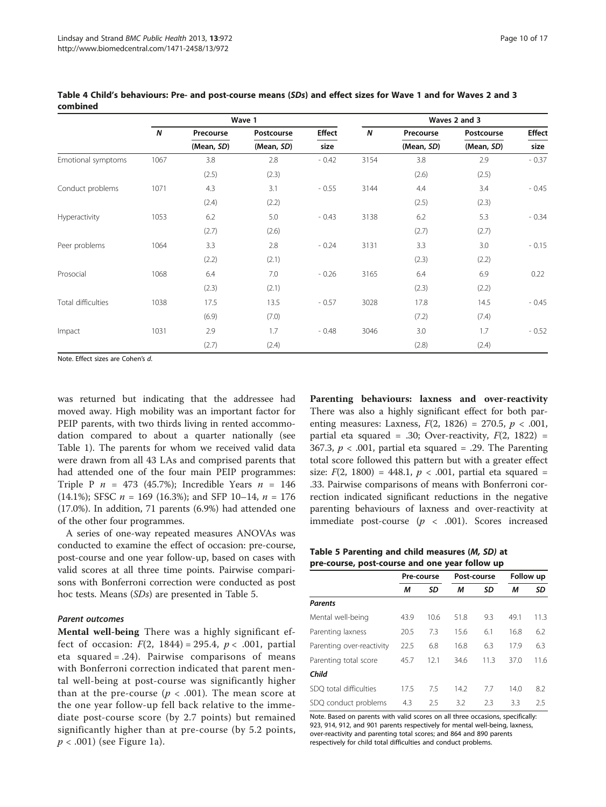|                    |      |            | Wave 1     | Waves 2 and 3 |                  |            |            |               |  |  |  |
|--------------------|------|------------|------------|---------------|------------------|------------|------------|---------------|--|--|--|
|                    | N    | Precourse  | Postcourse | <b>Effect</b> | $\boldsymbol{N}$ | Precourse  | Postcourse | <b>Effect</b> |  |  |  |
|                    |      | (Mean, SD) | (Mean, SD) | size          |                  | (Mean, SD) | (Mean, SD) | size          |  |  |  |
| Emotional symptoms | 1067 | 3.8        | 2.8        | $-0.42$       | 3154             | 3.8        | 2.9        | $-0.37$       |  |  |  |
|                    |      | (2.5)      | (2.3)      |               |                  | (2.6)      | (2.5)      |               |  |  |  |
| Conduct problems   | 1071 | 4.3        | 3.1        | $-0.55$       | 3144             | 4.4        | 3.4        | $-0.45$       |  |  |  |
|                    |      | (2.4)      | (2.2)      |               |                  | (2.5)      | (2.3)      |               |  |  |  |
| Hyperactivity      | 1053 | 6.2        | 5.0        | $-0.43$       | 3138             | 6.2        | 5.3        | $-0.34$       |  |  |  |
|                    |      | (2.7)      | (2.6)      |               |                  | (2.7)      | (2.7)      |               |  |  |  |
| Peer problems      | 1064 | 3.3        | 2.8        | $-0.24$       | 3131             | 3.3        | 3.0        | $-0.15$       |  |  |  |
|                    |      | (2.2)      | (2.1)      |               |                  | (2.3)      | (2.2)      |               |  |  |  |
| Prosocial          | 1068 | 6.4        | 7.0        | $-0.26$       | 3165             | 6.4        | 6.9        | 0.22          |  |  |  |
|                    |      | (2.3)      | (2.1)      |               |                  | (2.3)      | (2.2)      |               |  |  |  |
| Total difficulties | 1038 | 17.5       | 13.5       | $-0.57$       | 3028             | 17.8       | 14.5       | $-0.45$       |  |  |  |
|                    |      | (6.9)      | (7.0)      |               |                  | (7.2)      | (7.4)      |               |  |  |  |
| Impact             | 1031 | 2.9        | 1.7        | $-0.48$       | 3046             | 3.0        | 1.7        | $-0.52$       |  |  |  |
|                    |      | (2.7)      | (2.4)      |               |                  | (2.8)      | (2.4)      |               |  |  |  |

<span id="page-9-0"></span>Table 4 Child's behaviours: Pre- and post-course means (SDs) and effect sizes for Wave 1 and for Waves 2 and 3 combined

Note. Effect sizes are Cohen's d.

was returned but indicating that the addressee had moved away. High mobility was an important factor for PEIP parents, with two thirds living in rented accommodation compared to about a quarter nationally (see Table [1\)](#page-4-0). The parents for whom we received valid data were drawn from all 43 LAs and comprised parents that had attended one of the four main PEIP programmes: Triple P  $n = 473$  (45.7%); Incredible Years  $n = 146$ (14.1%); SFSC  $n = 169$  (16.3%); and SFP 10–14,  $n = 176$ (17.0%). In addition, 71 parents (6.9%) had attended one of the other four programmes.

A series of one-way repeated measures ANOVAs was conducted to examine the effect of occasion: pre-course, post-course and one year follow-up, based on cases with valid scores at all three time points. Pairwise comparisons with Bonferroni correction were conducted as post hoc tests. Means (SDs) are presented in Table 5.

#### Parent outcomes

Mental well-being There was a highly significant effect of occasion:  $F(2, 1844) = 295.4$ ,  $p < .001$ , partial eta squared = .24). Pairwise comparisons of means with Bonferroni correction indicated that parent mental well-being at post-course was significantly higher than at the pre-course ( $p < .001$ ). The mean score at the one year follow-up fell back relative to the immediate post-course score (by 2.7 points) but remained significantly higher than at pre-course (by 5.2 points,  $p < .001$ ) (see Figure [1a](#page-10-0)).

Parenting behaviours: laxness and over-reactivity There was also a highly significant effect for both parenting measures: Laxness,  $F(2, 1826) = 270.5$ ,  $p < .001$ , partial eta squared = .30; Over-reactivity,  $F(2, 1822)$  = 367.3,  $p < .001$ , partial eta squared = .29. The Parenting total score followed this pattern but with a greater effect size:  $F(2, 1800) = 448.1, p < .001$ , partial eta squared = .33. Pairwise comparisons of means with Bonferroni correction indicated significant reductions in the negative parenting behaviours of laxness and over-reactivity at immediate post-course  $(p \lt 0.001)$ . Scores increased

Table 5 Parenting and child measures (M, SD) at pre-course, post-course and one year follow up

|                           | Pre-course |      |      | Post-course | Follow up |      |  |
|---------------------------|------------|------|------|-------------|-----------|------|--|
|                           | М          | SD   | м    | SD          | М         | SD   |  |
| Parents                   |            |      |      |             |           |      |  |
| Mental well-being         | 43.9       | 10.6 | 51.8 | 9.3         | 49.1      | 11.3 |  |
| Parenting laxness         | 20.5       | 7.3  | 15.6 | 6.1         | 16.8      | 6.2  |  |
| Parenting over-reactivity | 22.5       | 6.8  | 16.8 | 6.3         | 17.9      | 6.3  |  |
| Parenting total score     | 45.7       | 12.1 | 34.6 | 11.3        | 37.0      | 11.6 |  |
| Child                     |            |      |      |             |           |      |  |
| SDO total difficulties    | 17.5       | 7.5  | 14.2 | 7.7         | 14.0      | 8.2  |  |
| SDQ conduct problems      | 4.3        | 2.5  | 3.2  | 2.3         | 3.3       | 2.5  |  |

Note. Based on parents with valid scores on all three occasions, specifically: 923, 914, 912, and 901 parents respectively for mental well-being, laxness, over-reactivity and parenting total scores; and 864 and 890 parents respectively for child total difficulties and conduct problems.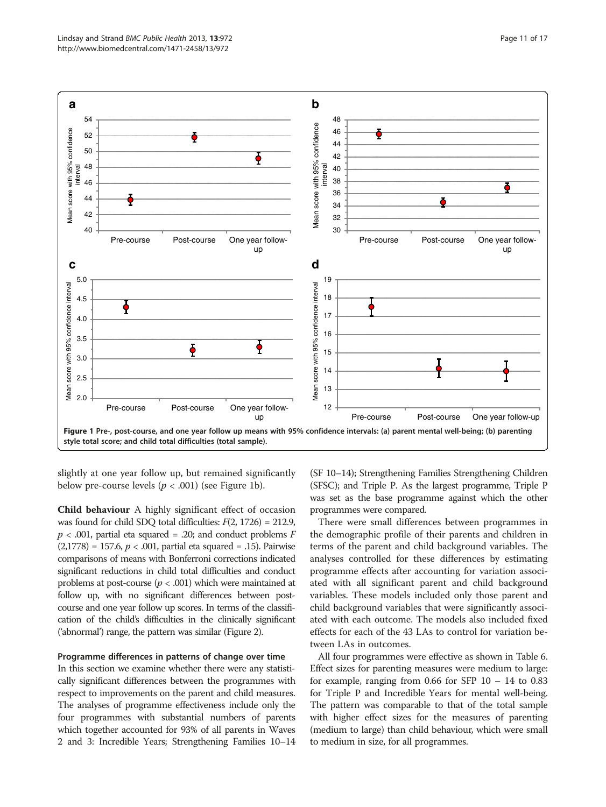<span id="page-10-0"></span>

slightly at one year follow up, but remained significantly below pre-course levels ( $p < .001$ ) (see Figure 1b).

Child behaviour A highly significant effect of occasion was found for child SDO total difficulties:  $F(2, 1726) = 212.9$ ,  $p < .001$ , partial eta squared = .20; and conduct problems F  $(2,1778) = 157.6, p < .001$ , partial eta squared = .15). Pairwise comparisons of means with Bonferroni corrections indicated significant reductions in child total difficulties and conduct problems at post-course ( $p < .001$ ) which were maintained at follow up, with no significant differences between postcourse and one year follow up scores. In terms of the classification of the child's difficulties in the clinically significant ('abnormal') range, the pattern was similar (Figure [2](#page-11-0)).

#### Programme differences in patterns of change over time

In this section we examine whether there were any statistically significant differences between the programmes with respect to improvements on the parent and child measures. The analyses of programme effectiveness include only the four programmes with substantial numbers of parents which together accounted for 93% of all parents in Waves 2 and 3: Incredible Years; Strengthening Families 10–14

(SF 10–14); Strengthening Families Strengthening Children (SFSC); and Triple P. As the largest programme, Triple P was set as the base programme against which the other programmes were compared.

There were small differences between programmes in the demographic profile of their parents and children in terms of the parent and child background variables. The analyses controlled for these differences by estimating programme effects after accounting for variation associated with all significant parent and child background variables. These models included only those parent and child background variables that were significantly associated with each outcome. The models also included fixed effects for each of the 43 LAs to control for variation between LAs in outcomes.

All four programmes were effective as shown in Table [6](#page-12-0). Effect sizes for parenting measures were medium to large: for example, ranging from  $0.66$  for SFP  $10 - 14$  to  $0.83$ for Triple P and Incredible Years for mental well-being. The pattern was comparable to that of the total sample with higher effect sizes for the measures of parenting (medium to large) than child behaviour, which were small to medium in size, for all programmes.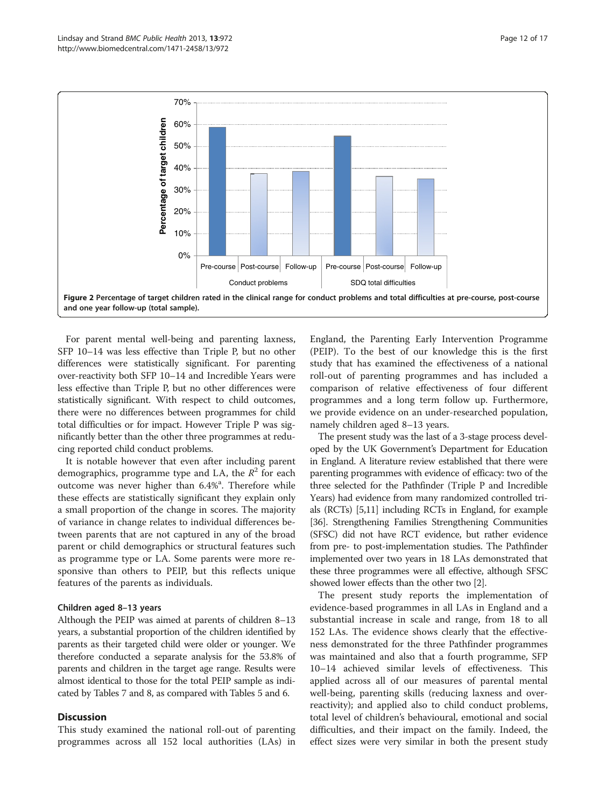<span id="page-11-0"></span>

For parent mental well-being and parenting laxness, SFP 10–14 was less effective than Triple P, but no other differences were statistically significant. For parenting over-reactivity both SFP 10–14 and Incredible Years were less effective than Triple P, but no other differences were statistically significant. With respect to child outcomes, there were no differences between programmes for child total difficulties or for impact. However Triple P was significantly better than the other three programmes at reducing reported child conduct problems.

It is notable however that even after including parent demographics, programme type and LA, the  $R^2$  for each outcome was never higher than 6.4%<sup>a</sup>. Therefore while these effects are statistically significant they explain only a small proportion of the change in scores. The majority of variance in change relates to individual differences between parents that are not captured in any of the broad parent or child demographics or structural features such as programme type or LA. Some parents were more responsive than others to PEIP, but this reflects unique features of the parents as individuals.

#### Children aged 8–13 years

Although the PEIP was aimed at parents of children 8–13 years, a substantial proportion of the children identified by parents as their targeted child were older or younger. We therefore conducted a separate analysis for the 53.8% of parents and children in the target age range. Results were almost identical to those for the total PEIP sample as indicated by Tables [7](#page-13-0) and [8](#page-14-0), as compared with Tables [5](#page-9-0) and [6.](#page-12-0)

## **Discussion**

This study examined the national roll-out of parenting programmes across all 152 local authorities (LAs) in

England, the Parenting Early Intervention Programme (PEIP). To the best of our knowledge this is the first study that has examined the effectiveness of a national roll-out of parenting programmes and has included a comparison of relative effectiveness of four different programmes and a long term follow up. Furthermore, we provide evidence on an under-researched population, namely children aged 8–13 years.

The present study was the last of a 3-stage process developed by the UK Government's Department for Education in England. A literature review established that there were parenting programmes with evidence of efficacy: two of the three selected for the Pathfinder (Triple P and Incredible Years) had evidence from many randomized controlled trials (RCTs) [\[5,11](#page-15-0)] including RCTs in England, for example [[36](#page-16-0)]. Strengthening Families Strengthening Communities (SFSC) did not have RCT evidence, but rather evidence from pre- to post-implementation studies. The Pathfinder implemented over two years in 18 LAs demonstrated that these three programmes were all effective, although SFSC showed lower effects than the other two [[2](#page-15-0)].

The present study reports the implementation of evidence-based programmes in all LAs in England and a substantial increase in scale and range, from 18 to all 152 LAs. The evidence shows clearly that the effectiveness demonstrated for the three Pathfinder programmes was maintained and also that a fourth programme, SFP 10–14 achieved similar levels of effectiveness. This applied across all of our measures of parental mental well-being, parenting skills (reducing laxness and overreactivity); and applied also to child conduct problems, total level of children's behavioural, emotional and social difficulties, and their impact on the family. Indeed, the effect sizes were very similar in both the present study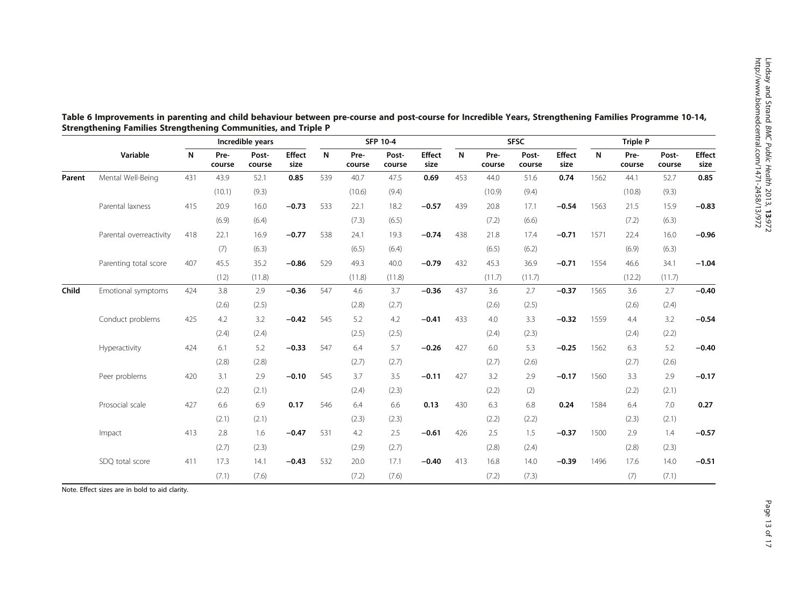|        |                         |     | Incredible years |                 |                       | <b>SFP 10-4</b> |                |                 |                       | <b>SFSC</b>  |                |                 |                       | Triple P     |                |                 |                       |
|--------|-------------------------|-----|------------------|-----------------|-----------------------|-----------------|----------------|-----------------|-----------------------|--------------|----------------|-----------------|-----------------------|--------------|----------------|-----------------|-----------------------|
|        | Variable                | N   | Pre-<br>course   | Post-<br>course | <b>Effect</b><br>size | N               | Pre-<br>course | Post-<br>course | <b>Effect</b><br>size | $\mathsf{N}$ | Pre-<br>course | Post-<br>course | <b>Effect</b><br>size | $\mathsf{N}$ | Pre-<br>course | Post-<br>course | <b>Effect</b><br>size |
| Parent | Mental Well-Being       | 431 | 43.9             | 52.1            | 0.85                  | 539             | 40.7           | 47.5            | 0.69                  | 453          | 44.0           | 51.6            | 0.74                  | 1562         | 44.1           | 52.7            | 0.85                  |
|        |                         |     | (10.1)           | (9.3)           |                       |                 | (10.6)         | (9.4)           |                       |              | (10.9)         | (9.4)           |                       |              | (10.8)         | (9.3)           |                       |
|        | Parental laxness        | 415 | 20.9             | 16.0            | $-0.73$               | 533             | 22.1           | 18.2            | $-0.57$               | 439          | 20.8           | 17.1            | $-0.54$               | 1563         | 21.5           | 15.9            | $-0.83$               |
|        |                         |     | (6.9)            | (6.4)           |                       |                 | (7.3)          | (6.5)           |                       |              | (7.2)          | (6.6)           |                       |              | (7.2)          | (6.3)           |                       |
|        | Parental overreactivity | 418 | 22.1             | 16.9            | $-0.77$               | 538             | 24.1           | 19.3            | $-0.74$               | 438          | 21.8           | 17.4            | $-0.71$               | 1571         | 22.4           | 16.0            | $-0.96$               |
|        |                         |     | (7)              | (6.3)           |                       |                 | (6.5)          | (6.4)           |                       |              | (6.5)          | (6.2)           |                       |              | (6.9)          | (6.3)           |                       |
|        | Parenting total score   | 407 | 45.5             | 35.2            | $-0.86$               | 529             | 49.3           | 40.0            | $-0.79$               | 432          | 45.3           | 36.9            | $-0.71$               | 1554         | 46.6           | 34.1            | $-1.04$               |
|        |                         |     | (12)             | (11.8)          |                       |                 | (11.8)         | (11.8)          |                       |              | (11.7)         | (11.7)          |                       |              | (12.2)         | (11.7)          |                       |
| Child  | Emotional symptoms      | 424 | 3.8              | 2.9             | $-0.36$               | 547             | 4.6            | 3.7             | $-0.36$               | 437          | 3.6            | 2.7             | $-0.37$               | 1565         | 3.6            | 2.7             | $-0.40$               |
|        |                         |     | (2.6)            | (2.5)           |                       |                 | (2.8)          | (2.7)           |                       |              | (2.6)          | (2.5)           |                       |              | (2.6)          | (2.4)           |                       |
|        | Conduct problems        | 425 | 4.2              | 3.2             | $-0.42$               | 545             | 5.2            | 4.2             | $-0.41$               | 433          | 4.0            | 3.3             | $-0.32$               | 1559         | 4.4            | 3.2             | $-0.54$               |
|        |                         |     | (2.4)            | (2.4)           |                       |                 | (2.5)          | (2.5)           |                       |              | (2.4)          | (2.3)           |                       |              | (2.4)          | (2.2)           |                       |
|        | Hyperactivity           | 424 | 6.1              | 5.2             | $-0.33$               | 547             | 6.4            | 5.7             | $-0.26$               | 427          | 6.0            | 5.3             | $-0.25$               | 1562         | 6.3            | 5.2             | $-0.40$               |
|        |                         |     | (2.8)            | (2.8)           |                       |                 | (2.7)          | (2.7)           |                       |              | (2.7)          | (2.6)           |                       |              | (2.7)          | (2.6)           |                       |
|        | Peer problems           | 420 | 3.1              | 2.9             | $-0.10$               | 545             | 3.7            | 3.5             | $-0.11$               | 427          | 3.2            | 2.9             | $-0.17$               | 1560         | 3.3            | 2.9             | $-0.17$               |
|        |                         |     | (2.2)            | (2.1)           |                       |                 | (2.4)          | (2.3)           |                       |              | (2.2)          | (2)             |                       |              | (2.2)          | (2.1)           |                       |
|        | Prosocial scale         | 427 | 6.6              | 6.9             | 0.17                  | 546             | 6.4            | 6.6             | 0.13                  | 430          | 6.3            | 6.8             | 0.24                  | 1584         | 6.4            | 7.0             | 0.27                  |
|        |                         |     | (2.1)            | (2.1)           |                       |                 | (2.3)          | (2.3)           |                       |              | (2.2)          | (2.2)           |                       |              | (2.3)          | (2.1)           |                       |
|        | Impact                  | 413 | 2.8              | 1.6             | $-0.47$               | 531             | 4.2            | 2.5             | $-0.61$               | 426          | 2.5            | 1.5             | $-0.37$               | 1500         | 2.9            | 1.4             | $-0.57$               |
|        |                         |     | (2.7)            | (2.3)           |                       |                 | (2.9)          | (2.7)           |                       |              | (2.8)          | (2.4)           |                       |              | (2.8)          | (2.3)           |                       |
|        | SDQ total score         | 411 | 17.3             | 14.1            | $-0.43$               | 532             | 20.0           | 17.1            | $-0.40$               | 413          | 16.8           | 14.0            | $-0.39$               | 1496         | 17.6           | 14.0            | $-0.51$               |
|        |                         |     | (7.1)            | (7.6)           |                       |                 | (7.2)          | (7.6)           |                       |              | (7.2)          | (7.3)           |                       |              | (7)            | (7.1)           |                       |

<span id="page-12-0"></span>Table 6 Improvements in parenting and child behaviour between pre-course and post-course for Incredible Years, Strengthening Families Programme 10-14, Strengthening Families Strengthening Communities, and Triple P

Note. Effect sizes are in bold to aid clarity.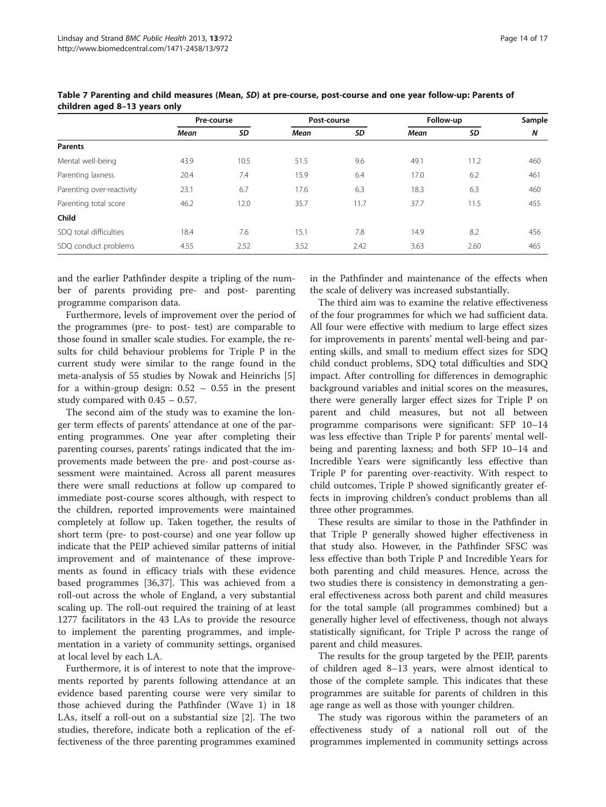|                           | Pre-course |      | Post-course |      | Follow-up | Sample |     |
|---------------------------|------------|------|-------------|------|-----------|--------|-----|
|                           | Mean       | SD   | Mean        | SD   | Mean      | SD     | N   |
| <b>Parents</b>            |            |      |             |      |           |        |     |
| Mental well-being         | 43.9       | 10.5 | 51.5        | 9.6  | 49.1      | 11.2   | 460 |
| Parenting laxness         | 20.4       | 7.4  | 15.9        | 6.4  | 17.0      | 6.2    | 461 |
| Parenting over-reactivity | 23.1       | 6.7  | 17.6        | 6.3  | 18.3      | 6.3    | 460 |
| Parenting total score     | 46.2       | 12.0 | 35.7        | 11.7 | 37.7      | 11.5   | 455 |
| Child                     |            |      |             |      |           |        |     |
| SDO total difficulties    | 18.4       | 7.6  | 15.1        | 7.8  | 14.9      | 8.2    | 456 |
| SDQ conduct problems      | 4.55       | 2.52 | 3.52        | 2.42 | 3.63      | 2.60   | 465 |

<span id="page-13-0"></span>Table 7 Parenting and child measures (Mean, SD) at pre-course, post-course and one year follow-up: Parents of children aged 8–13 years only

and the earlier Pathfinder despite a tripling of the number of parents providing pre- and post- parenting programme comparison data.

Furthermore, levels of improvement over the period of the programmes (pre- to post- test) are comparable to those found in smaller scale studies. For example, the results for child behaviour problems for Triple P in the current study were similar to the range found in the meta-analysis of 55 studies by Nowak and Heinrichs [\[5](#page-15-0)] for a within-group design:  $0.52 - 0.55$  in the present study compared with 0.45 – 0.57.

The second aim of the study was to examine the longer term effects of parents' attendance at one of the parenting programmes. One year after completing their parenting courses, parents' ratings indicated that the improvements made between the pre- and post-course assessment were maintained. Across all parent measures there were small reductions at follow up compared to immediate post-course scores although, with respect to the children, reported improvements were maintained completely at follow up. Taken together, the results of short term (pre- to post-course) and one year follow up indicate that the PEIP achieved similar patterns of initial improvement and of maintenance of these improvements as found in efficacy trials with these evidence based programmes [[36](#page-16-0),[37](#page-16-0)]. This was achieved from a roll-out across the whole of England, a very substantial scaling up. The roll-out required the training of at least 1277 facilitators in the 43 LAs to provide the resource to implement the parenting programmes, and implementation in a variety of community settings, organised at local level by each LA.

Furthermore, it is of interest to note that the improvements reported by parents following attendance at an evidence based parenting course were very similar to those achieved during the Pathfinder (Wave 1) in 18 LAs, itself a roll-out on a substantial size [[2\]](#page-15-0). The two studies, therefore, indicate both a replication of the effectiveness of the three parenting programmes examined in the Pathfinder and maintenance of the effects when the scale of delivery was increased substantially.

The third aim was to examine the relative effectiveness of the four programmes for which we had sufficient data. All four were effective with medium to large effect sizes for improvements in parents' mental well-being and parenting skills, and small to medium effect sizes for SDQ child conduct problems, SDQ total difficulties and SDQ impact. After controlling for differences in demographic background variables and initial scores on the measures, there were generally larger effect sizes for Triple P on parent and child measures, but not all between programme comparisons were significant: SFP 10–14 was less effective than Triple P for parents' mental wellbeing and parenting laxness; and both SFP 10–14 and Incredible Years were significantly less effective than Triple P for parenting over-reactivity. With respect to child outcomes, Triple P showed significantly greater effects in improving children's conduct problems than all three other programmes.

These results are similar to those in the Pathfinder in that Triple P generally showed higher effectiveness in that study also. However, in the Pathfinder SFSC was less effective than both Triple P and Incredible Years for both parenting and child measures. Hence, across the two studies there is consistency in demonstrating a general effectiveness across both parent and child measures for the total sample (all programmes combined) but a generally higher level of effectiveness, though not always statistically significant, for Triple P across the range of parent and child measures.

The results for the group targeted by the PEIP, parents of children aged 8–13 years, were almost identical to those of the complete sample. This indicates that these programmes are suitable for parents of children in this age range as well as those with younger children.

The study was rigorous within the parameters of an effectiveness study of a national roll out of the programmes implemented in community settings across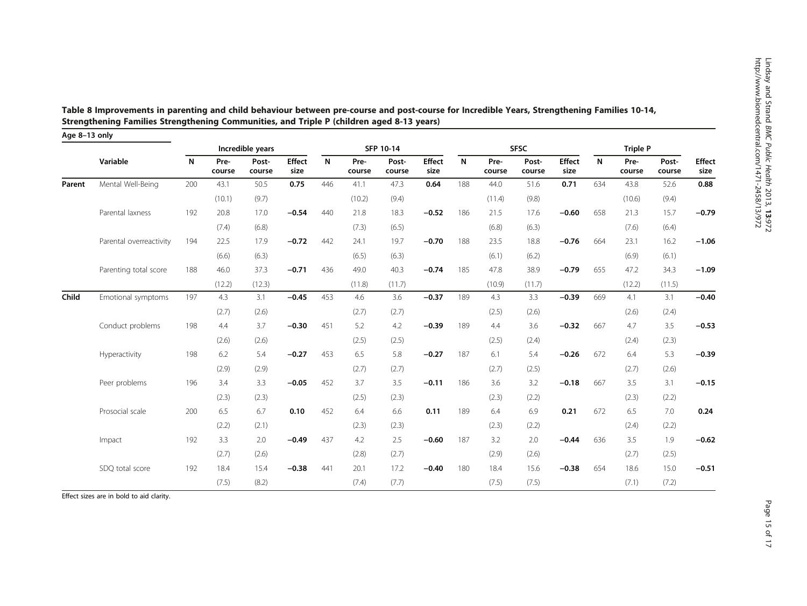| Age 8-13 only |                         |     |                |                  |                       |              |                |                 |                       |      |                |                 |                |              |                 |                 |                       |
|---------------|-------------------------|-----|----------------|------------------|-----------------------|--------------|----------------|-----------------|-----------------------|------|----------------|-----------------|----------------|--------------|-----------------|-----------------|-----------------------|
|               |                         |     |                | Incredible years |                       |              |                | SFP 10-14       |                       |      |                | <b>SFSC</b>     |                |              | <b>Triple P</b> |                 |                       |
|               | Variable                | N   | Pre-<br>course | Post-<br>course  | <b>Effect</b><br>size | $\mathsf{N}$ | Pre-<br>course | Post-<br>course | <b>Effect</b><br>size | N    | Pre-<br>course | Post-<br>course | Effect<br>size | $\mathsf{N}$ | Pre-<br>course  | Post-<br>course | <b>Effect</b><br>size |
| Parent        | Mental Well-Being       | 200 | 43.1           | 50.5             | 0.75                  | 446          | 41.1           | 47.3            | 0.64                  | 188  | 44.0           | 51.6            | 0.71           | 634          | 43.8            | 52.6            | 0.88                  |
|               |                         |     | (10.1)         | (9.7)            |                       |              | (10.2)         | (9.4)           |                       |      | (11.4)         | (9.8)           |                |              | (10.6)          | (9.4)           |                       |
|               | Parental laxness        | 192 | 20.8           | 17.0             | $-0.54$               | 440          | 21.8           | 18.3            | $-0.52$               | 186  | 21.5           | 17.6            | $-0.60$        | 658          | 21.3            | 15.7            | $-0.79$               |
|               |                         |     | (7.4)          | (6.8)            |                       |              | (7.3)          | (6.5)           |                       |      | (6.8)          | (6.3)           |                |              | (7.6)           | (6.4)           |                       |
|               | Parental overreactivity | 194 | 22.5<br>17.9   | $-0.72$          | 442                   | 24.1         | 19.7           | $-0.70$         | 188                   | 23.5 | 18.8           | $-0.76$         | 664            | 23.1         | 16.2            | $-1.06$         |                       |
|               |                         |     | (6.6)          | (6.3)            |                       |              | (6.5)          | (6.3)           |                       |      | (6.1)          | (6.2)           |                |              | (6.9)           | (6.1)           |                       |
|               | Parenting total score   | 188 | 46.0           | 37.3             | $-0.71$               | 436          | 49.0           | 40.3            | $-0.74$               | 185  | 47.8           | 38.9            | $-0.79$        | 655          | 47.2            | 34.3            | $-1.09$               |
|               |                         |     | (12.2)         | (12.3)           |                       |              | (11.8)         | (11.7)          |                       |      | (10.9)         | (11.7)          |                |              | (12.2)          | (11.5)          |                       |
| Child         | Emotional symptoms      | 197 | 4.3            | 3.1              | $-0.45$               | 453          | 4.6            | 3.6             | $-0.37$               | 189  | 4.3            | 3.3             | $-0.39$        | 669          | 4.1             | 3.1             | $-0.40$               |
|               |                         |     | (2.7)          | (2.6)            |                       |              | (2.7)          | (2.7)           |                       |      | (2.5)          | (2.6)           |                |              | (2.6)           | (2.4)           |                       |
|               | Conduct problems        | 198 | 4.4            | 3.7              | $-0.30$               | 451          | 5.2            | 4.2             | $-0.39$               | 189  | 4.4            | 3.6             | $-0.32$        | 667          | 4.7             | 3.5             | $-0.53$               |
|               |                         |     | (2.6)          | (2.6)            |                       |              | (2.5)          | (2.5)           |                       |      | (2.5)          | (2.4)           |                |              | (2.4)           | (2.3)           |                       |
|               | Hyperactivity           | 198 | 6.2            | 5.4              | $-0.27$               | 453          | 6.5            | 5.8             | $-0.27$               | 187  | 6.1            | 5.4             | $-0.26$        | 672          | 6.4             | 5.3             | $-0.39$               |
|               |                         |     | (2.9)          | (2.9)            |                       |              | (2.7)          | (2.7)           |                       |      | (2.7)          | (2.5)           |                |              | (2.7)           | (2.6)           |                       |
|               | Peer problems           | 196 | 3.4            | 3.3              | $-0.05$               | 452          | 3.7            | 3.5             | $-0.11$               | 186  | 3.6            | 3.2             | $-0.18$        | 667          | 3.5             | 3.1             | $-0.15$               |
|               |                         |     | (2.3)          | (2.3)            |                       |              | (2.5)          | (2.3)           |                       |      | (2.3)          | (2.2)           |                |              | (2.3)           | (2.2)           |                       |
|               | Prosocial scale         | 200 | 6.5            | 6.7              | 0.10                  | 452          | 6.4            | 6.6             | 0.11                  | 189  | 6.4            | 6.9             | 0.21           | 672          | 6.5             | 7.0             | 0.24                  |
|               |                         |     | (2.2)          | (2.1)            |                       |              | (2.3)          | (2.3)           |                       |      | (2.3)          | (2.2)           |                |              | (2.4)           | (2.2)           |                       |
|               | Impact                  | 192 | 3.3            | 2.0              | $-0.49$               | 437          | 4.2            | 2.5             | $-0.60$               | 187  | 3.2            | 2.0             | $-0.44$        | 636          | 3.5             | 1.9             | $-0.62$               |
|               |                         |     | (2.7)          | (2.6)            |                       |              | (2.8)          | (2.7)           |                       |      | (2.9)          | (2.6)           |                |              | (2.7)           | (2.5)           |                       |
|               | SDQ total score         | 192 | 18.4           | 15.4             | $-0.38$               | 441          | 20.1           | 17.2            | $-0.40$               | 180  | 18.4           | 15.6            | $-0.38$        | 654          | 18.6            | 15.0            | $-0.51$               |
|               |                         |     | (7.5)          | (8.2)            |                       |              | (7.4)          | (7.7)           |                       |      | (7.5)          | (7.5)           |                |              | (7.1)           | (7.2)           |                       |

<span id="page-14-0"></span>Table 8 Improvements in parenting and child behaviour between pre-course and post-course for Incredible Years, Strengthening Families 10-14, Strengthening Families Strengthening Communities, and Triple P (children aged 8-13 years)

Effect sizes are in bold to aid clarity.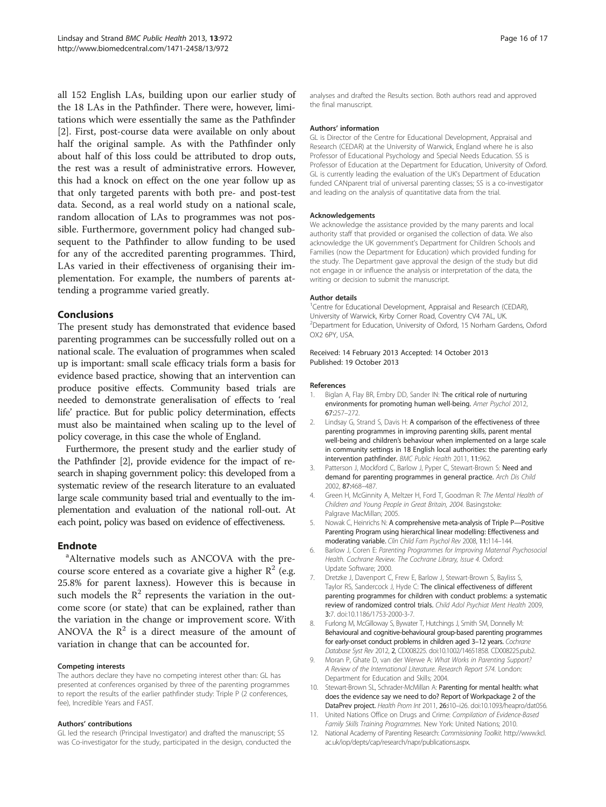<span id="page-15-0"></span>all 152 English LAs, building upon our earlier study of the 18 LAs in the Pathfinder. There were, however, limitations which were essentially the same as the Pathfinder [2]. First, post-course data were available on only about half the original sample. As with the Pathfinder only about half of this loss could be attributed to drop outs, the rest was a result of administrative errors. However, this had a knock on effect on the one year follow up as that only targeted parents with both pre- and post-test data. Second, as a real world study on a national scale, random allocation of LAs to programmes was not possible. Furthermore, government policy had changed subsequent to the Pathfinder to allow funding to be used for any of the accredited parenting programmes. Third, LAs varied in their effectiveness of organising their implementation. For example, the numbers of parents attending a programme varied greatly.

## Conclusions

The present study has demonstrated that evidence based parenting programmes can be successfully rolled out on a national scale. The evaluation of programmes when scaled up is important: small scale efficacy trials form a basis for evidence based practice, showing that an intervention can produce positive effects. Community based trials are needed to demonstrate generalisation of effects to 'real life' practice. But for public policy determination, effects must also be maintained when scaling up to the level of policy coverage, in this case the whole of England.

Furthermore, the present study and the earlier study of the Pathfinder [2], provide evidence for the impact of research in shaping government policy: this developed from a systematic review of the research literature to an evaluated large scale community based trial and eventually to the implementation and evaluation of the national roll-out. At each point, policy was based on evidence of effectiveness.

## **Endnote**

Alternative models such as ANCOVA with the precourse score entered as a covariate give a higher  $\mathbb{R}^2$  (e.g. 25.8% for parent laxness). However this is because in such models the  $R^2$  represents the variation in the outcome score (or state) that can be explained, rather than the variation in the change or improvement score. With ANOVA the  $\mathbb{R}^2$  is a direct measure of the amount of variation in change that can be accounted for.

#### Competing interests

The authors declare they have no competing interest other than: GL has presented at conferences organised by three of the parenting programmes to report the results of the earlier pathfinder study: Triple P (2 conferences, fee), Incredible Years and FAST.

#### Authors' contributions

GL led the research (Principal Investigator) and drafted the manuscript; SS was Co-investigator for the study, participated in the design, conducted the

analyses and drafted the Results section. Both authors read and approved the final manuscript.

#### Authors' information

GL is Director of the Centre for Educational Development, Appraisal and Research (CEDAR) at the University of Warwick, England where he is also Professor of Educational Psychology and Special Needs Education. SS is Professor of Education at the Department for Education, University of Oxford. GL is currently leading the evaluation of the UK's Department of Education funded CANparent trial of universal parenting classes; SS is a co-investigator and leading on the analysis of quantitative data from the trial.

#### Acknowledgements

We acknowledge the assistance provided by the many parents and local authority staff that provided or organised the collection of data. We also acknowledge the UK government's Department for Children Schools and Families (now the Department for Education) which provided funding for the study. The Department gave approval the design of the study but did not engage in or influence the analysis or interpretation of the data, the writing or decision to submit the manuscript.

#### Author details

<sup>1</sup> Centre for Educational Development, Appraisal and Research (CEDAR), University of Warwick, Kirby Corner Road, Coventry CV4 7AL, UK. <sup>2</sup> Department for Education, University of Oxford, 15 Norham Gardens, Oxford OX2 6PY, USA.

#### Received: 14 February 2013 Accepted: 14 October 2013 Published: 19 October 2013

#### References

- 1. Biglan A, Flay BR, Embry DD, Sander IN: The critical role of nurturing environments for promoting human well-being. Amer Psychol 2012,  $67.257 - 272$
- 2. Lindsay G, Strand S, Davis H: A comparison of the effectiveness of three parenting programmes in improving parenting skills, parent mental well-being and children's behaviour when implemented on a large scale in community settings in 18 English local authorities: the parenting early intervention pathfinder. BMC Public Health 2011, 11:962.
- 3. Patterson J, Mockford C, Barlow J, Pyper C, Stewart-Brown S: Need and demand for parenting programmes in general practice. Arch Dis Child 2002, 87:468–487.
- 4. Green H, McGinnity A, Meltzer H, Ford T, Goodman R: The Mental Health of Children and Young People in Great Britain, 2004. Basingstoke: Palgrave MacMillan; 2005.
- 5. Nowak C, Heinrichs N: A comprehensive meta-analysis of Triple P—Positive Parenting Program using hierarchical linear modelling: Effectiveness and moderating variable. Clin Child Fam Psychol Rev 2008, 11:114–144.
- 6. Barlow J, Coren E: Parenting Programmes for Improving Maternal Psychosocial Health. Cochrane Review. The Cochrane Library, Issue 4. Oxford: Update Software; 2000.
- 7. Dretzke J, Davenport C, Frew E, Barlow J, Stewart-Brown S, Bayliss S, Taylor RS, Sandercock J, Hyde C: The clinical effectiveness of different parenting programmes for children with conduct problems: a systematic review of randomized control trials. Child Adol Psychiat Ment Health 2009, 3:7. doi:10.1186/1753-2000-3-7.
- 8. Furlong M, McGilloway S, Bywater T, Hutchings J, Smith SM, Donnelly M: Behavioural and cognitive-behavioural group-based parenting programmes for early-onset conduct problems in children aged 3–12 years. Cochrane Database Syst Rev 2012, 2, CD008225. doi:10.1002/14651858. CD008225.pub2.
- 9. Moran P, Ghate D, van der Werwe A: What Works in Parenting Support? A Review of the International Literature. Research Report 574. London: Department for Education and Skills; 2004.
- 10. Stewart-Brown SL, Schrader-McMillan A: Parenting for mental health: what does the evidence say we need to do? Report of Workpackage 2 of the DataPrev project. Health Prom Int 2011, 26:i10–i26. doi:10.1093/heapro/dat056.
- 11. United Nations Office on Drugs and Crime: Compilation of Evidence-Based Family Skills Training Programmes. New York: United Nations; 2010.
- 12. National Academy of Parenting Research: Commissioning Toolkit. [http://www.kcl.](http://www.kcl.ac.uk/iop/depts/cap/research/napr/publications.aspx) [ac.uk/iop/depts/cap/research/napr/publications.aspx](http://www.kcl.ac.uk/iop/depts/cap/research/napr/publications.aspx).